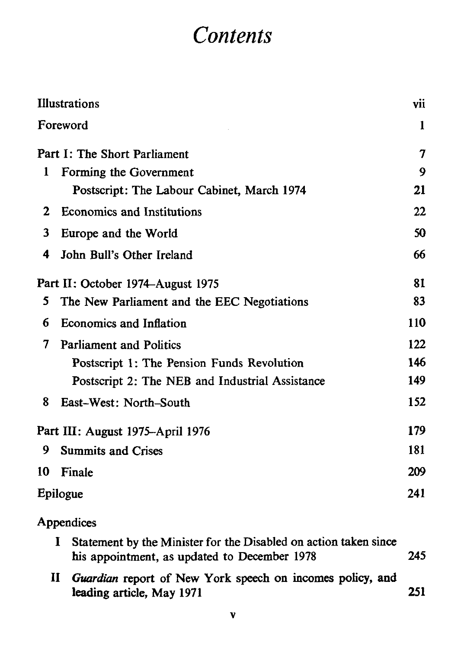## *Contents*

|                                   | <b>Illustrations</b>                                                                                                  |     |  |
|-----------------------------------|-----------------------------------------------------------------------------------------------------------------------|-----|--|
|                                   | Foreword                                                                                                              |     |  |
| Part I: The Short Parliament      |                                                                                                                       | 7   |  |
| 1                                 | Forming the Government                                                                                                | 9   |  |
|                                   | Postscript: The Labour Cabinet, March 1974                                                                            | 21  |  |
| 2                                 | Economics and Institutions                                                                                            | 22  |  |
| 3                                 | Europe and the World                                                                                                  | 50  |  |
| 4                                 | John Bull's Other Ireland                                                                                             | 66  |  |
| Part II: October 1974–August 1975 |                                                                                                                       | 81  |  |
| 5                                 | The New Parliament and the EEC Negotiations                                                                           | 83  |  |
| 6                                 | <b>Economics and Inflation</b>                                                                                        | 110 |  |
| 7                                 | <b>Parliament and Politics</b>                                                                                        | 122 |  |
|                                   | Postscript 1: The Pension Funds Revolution                                                                            | 146 |  |
|                                   | Postscript 2: The NEB and Industrial Assistance                                                                       | 149 |  |
| 8                                 | East-West: North-South                                                                                                | 152 |  |
|                                   | Part III: August 1975-April 1976                                                                                      |     |  |
| 9                                 | <b>Summits and Crises</b>                                                                                             | 181 |  |
| 10                                | Finale                                                                                                                | 209 |  |
|                                   | Epilogue                                                                                                              |     |  |
|                                   | Appendices                                                                                                            |     |  |
|                                   | Statement by the Minister for the Disabled on action taken since<br>1<br>his appointment, as updated to December 1978 | 245 |  |
| П                                 | Guardian report of New York speech on incomes policy, and<br>leading article, May 1971                                | 251 |  |